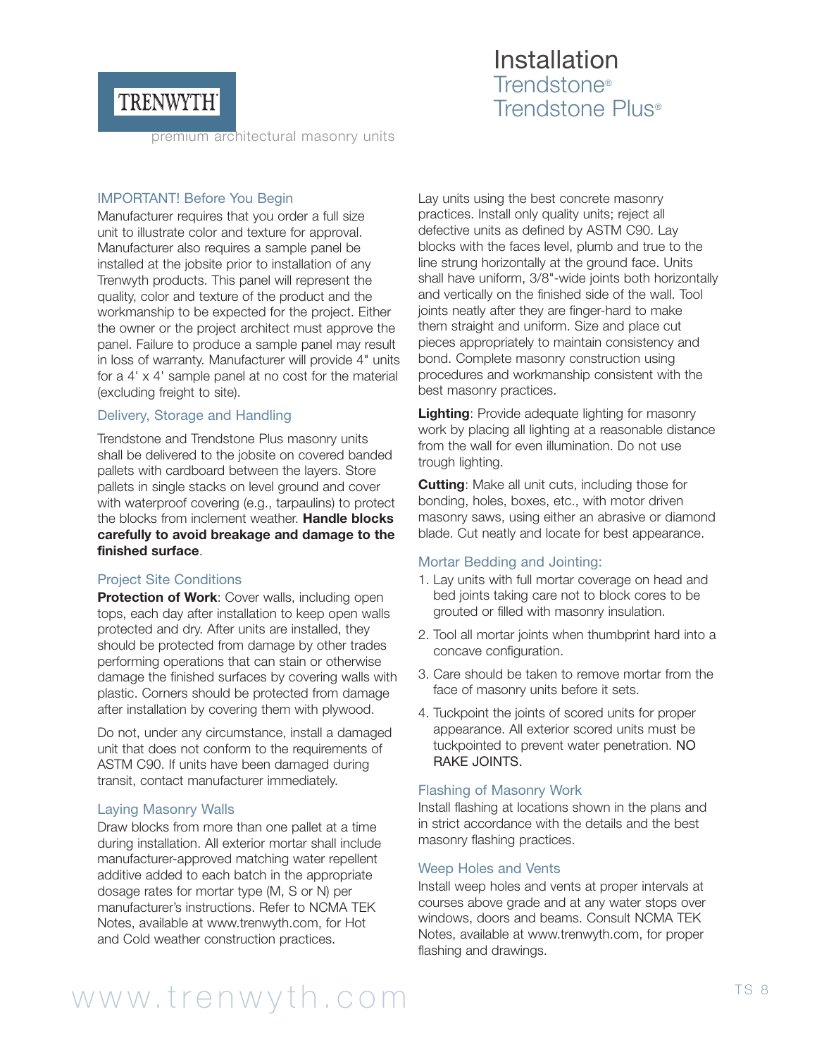## TRENWYTH

### Installation Trendstone® Trendstone Plus®

premium architectural masonry units

#### IMPORTANT! Before You Begin

Manufacturer requires that you order a full size unit to illustrate color and texture for approval. Manufacturer also requires a sample panel be installed at the jobsite prior to installation of any Trenwyth products. This panel will represent the quality, color and texture of the product and the workmanship to be expected for the project. Either the owner or the project architect must approve the panel. Failure to produce a sample panel may result in loss of warranty. Manufacturer will provide 4" units for a 4' x 4' sample panel at no cost for the material (excluding freight to site).

#### Delivery, Storage and Handling

Trendstone and Trendstone Plus masonry units shall be delivered to the jobsite on covered banded pallets with cardboard between the layers. Store pallets in single stacks on level ground and cover with waterproof covering (e.g., tarpaulins) to protect the blocks from inclement weather. **Handle blocks carefully to avoid breakage and damage to the finished surface**.

#### Project Site Conditions

**Protection of Work: Cover walls, including open** tops, each day after installation to keep open walls protected and dry. After units are installed, they should be protected from damage by other trades performing operations that can stain or otherwise damage the finished surfaces by covering walls with plastic. Corners should be protected from damage after installation by covering them with plywood.

Do not, under any circumstance, install a damaged unit that does not conform to the requirements of ASTM C90. If units have been damaged during transit, contact manufacturer immediately.

#### Laying Masonry Walls

Draw blocks from more than one pallet at a time during installation. All exterior mortar shall include manufacturer-approved matching water repellent additive added to each batch in the appropriate dosage rates for mortar type (M, S or N) per manufacturer's instructions. Refer to NCMA TEK Notes, available at www.trenwyth.com, for Hot and Cold weather construction practices.

Lay units using the best concrete masonry practices. Install only quality units; reject all defective units as defined by ASTM C90. Lay blocks with the faces level, plumb and true to the line strung horizontally at the ground face. Units shall have uniform, 3/8"-wide joints both horizontally and vertically on the finished side of the wall. Tool joints neatly after they are finger-hard to make them straight and uniform. Size and place cut pieces appropriately to maintain consistency and bond. Complete masonry construction using procedures and workmanship consistent with the best masonry practices.

**Lighting**: Provide adequate lighting for masonry work by placing all lighting at a reasonable distance from the wall for even illumination. Do not use trough lighting.

**Cutting**: Make all unit cuts, including those for bonding, holes, boxes, etc., with motor driven masonry saws, using either an abrasive or diamond blade. Cut neatly and locate for best appearance.

### Mortar Bedding and Jointing:

- 1. Lay units with full mortar coverage on head and bed joints taking care not to block cores to be grouted or filled with masonry insulation.
- 2. Tool all mortar joints when thumbprint hard into a concave configuration.
- 3. Care should be taken to remove mortar from the face of masonry units before it sets.
- 4. Tuckpoint the joints of scored units for proper appearance. All exterior scored units must be tuckpointed to prevent water penetration. NO RAKE JOINTS.

#### Flashing of Masonry Work

Install flashing at locations shown in the plans and in strict accordance with the details and the best masonry flashing practices.

#### Weep Holes and Vents

Install weep holes and vents at proper intervals at courses above grade and at any water stops over windows, doors and beams. Consult NCMA TEK Notes, available at www.trenwyth.com, for proper flashing and drawings.

# www.trenwyth.com TS 8